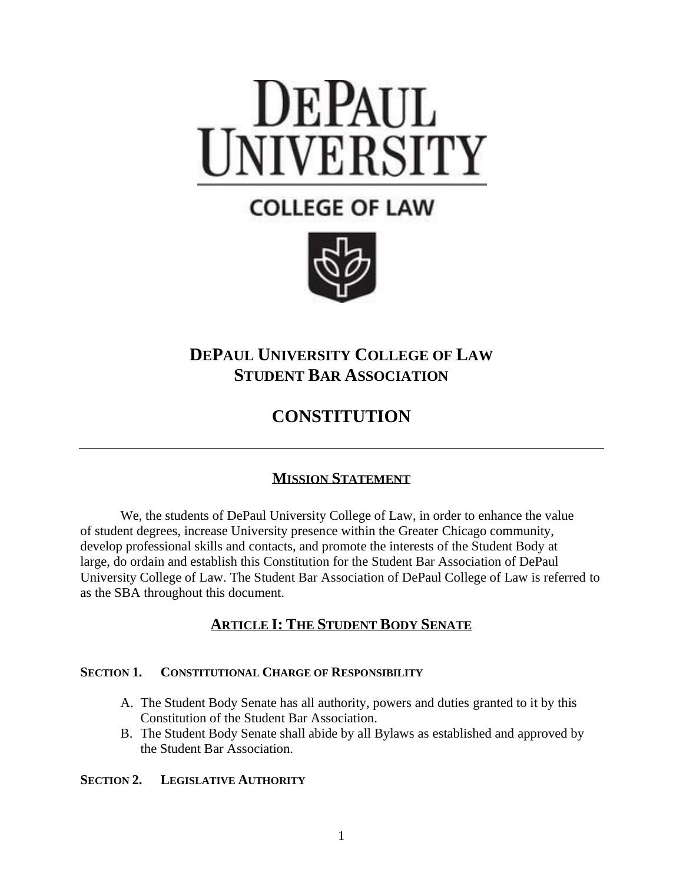# DEPAUL<br>INIVERSITY

# **COLLEGE OF LAW**



## **DEPAUL UNIVERSITY COLLEGE OF LAW STUDENT BAR ASSOCIATION**

# **CONSTITUTION**

### **MISSION STATEMENT**

We, the students of DePaul University College of Law, in order to enhance the value of student degrees, increase University presence within the Greater Chicago community, develop professional skills and contacts, and promote the interests of the Student Body at large, do ordain and establish this Constitution for the Student Bar Association of DePaul University College of Law. The Student Bar Association of DePaul College of Law is referred to as the SBA throughout this document.

### **ARTICLE I: THE STUDENT BODY SENATE**

### **SECTION 1. CONSTITUTIONAL CHARGE OF RESPONSIBILITY**

- A. The Student Body Senate has all authority, powers and duties granted to it by this Constitution of the Student Bar Association.
- B. The Student Body Senate shall abide by all Bylaws as established and approved by the Student Bar Association.

### **SECTION 2. LEGISLATIVE AUTHORITY**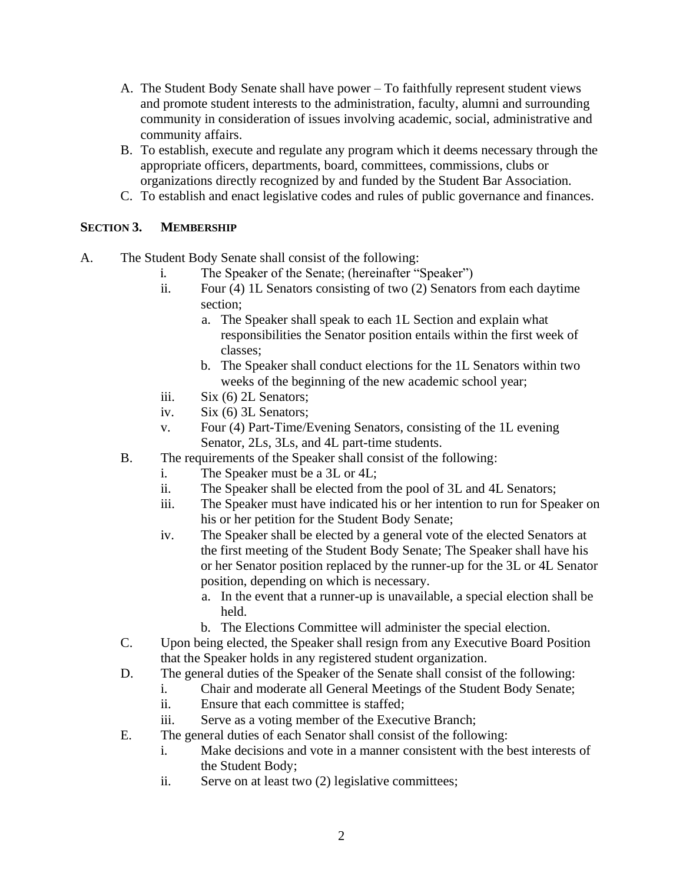- A. The Student Body Senate shall have power To faithfully represent student views and promote student interests to the administration, faculty, alumni and surrounding community in consideration of issues involving academic, social, administrative and community affairs.
- B. To establish, execute and regulate any program which it deems necessary through the appropriate officers, departments, board, committees, commissions, clubs or organizations directly recognized by and funded by the Student Bar Association.
- C. To establish and enact legislative codes and rules of public governance and finances.

### **SECTION 3. MEMBERSHIP**

A. The Student Body Senate shall consist of the following:

- i. The Speaker of the Senate; (hereinafter "Speaker")
- ii. Four (4) 1L Senators consisting of two (2) Senators from each daytime section;
	- a. The Speaker shall speak to each 1L Section and explain what responsibilities the Senator position entails within the first week of classes;
	- b. The Speaker shall conduct elections for the 1L Senators within two weeks of the beginning of the new academic school year;
- iii. Six (6) 2L Senators;
- iv. Six (6) 3L Senators;
- v. Four (4) Part-Time/Evening Senators, consisting of the 1L evening Senator, 2Ls, 3Ls, and 4L part-time students.
- B. The requirements of the Speaker shall consist of the following:
	- i. The Speaker must be a 3L or 4L;
	- ii. The Speaker shall be elected from the pool of 3L and 4L Senators;
	- iii. The Speaker must have indicated his or her intention to run for Speaker on his or her petition for the Student Body Senate;
	- iv. The Speaker shall be elected by a general vote of the elected Senators at the first meeting of the Student Body Senate; The Speaker shall have his or her Senator position replaced by the runner-up for the 3L or 4L Senator position, depending on which is necessary.
		- a. In the event that a runner-up is unavailable, a special election shall be held.
		- b. The Elections Committee will administer the special election.
- C. Upon being elected, the Speaker shall resign from any Executive Board Position that the Speaker holds in any registered student organization.
- D. The general duties of the Speaker of the Senate shall consist of the following:
	- i. Chair and moderate all General Meetings of the Student Body Senate;
	- ii. Ensure that each committee is staffed;
	- iii. Serve as a voting member of the Executive Branch;
- E. The general duties of each Senator shall consist of the following:
	- i. Make decisions and vote in a manner consistent with the best interests of the Student Body;
	- ii. Serve on at least two (2) legislative committees;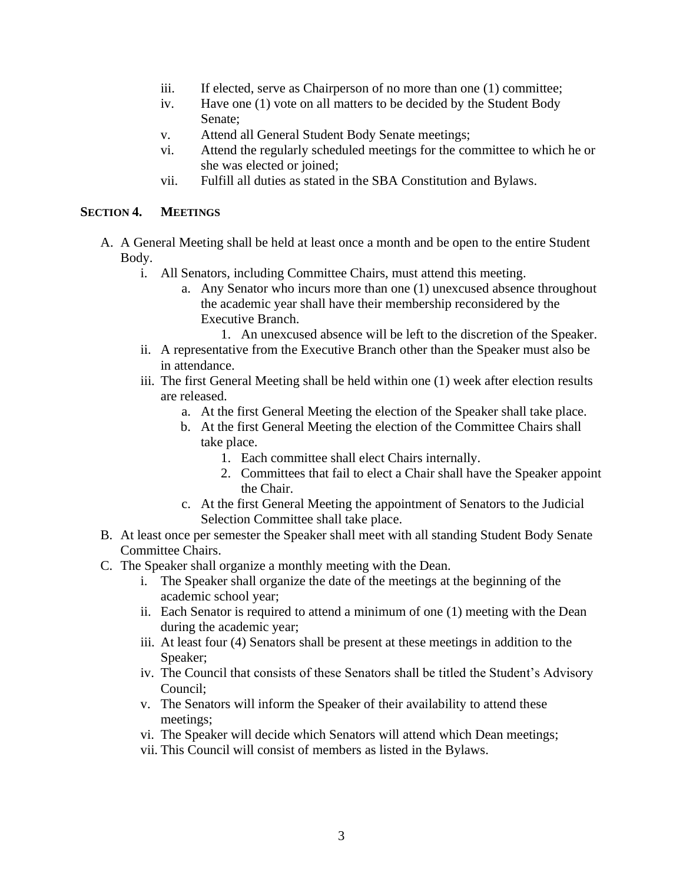- iii. If elected, serve as Chairperson of no more than one (1) committee;
- iv. Have one (1) vote on all matters to be decided by the Student Body Senate;
- v. Attend all General Student Body Senate meetings;
- vi. Attend the regularly scheduled meetings for the committee to which he or she was elected or joined;
- vii. Fulfill all duties as stated in the SBA Constitution and Bylaws.

### **SECTION 4. MEETINGS**

- A. A General Meeting shall be held at least once a month and be open to the entire Student Body.
	- i. All Senators, including Committee Chairs, must attend this meeting.
		- a. Any Senator who incurs more than one (1) unexcused absence throughout the academic year shall have their membership reconsidered by the Executive Branch.
			- 1. An unexcused absence will be left to the discretion of the Speaker.
	- ii. A representative from the Executive Branch other than the Speaker must also be in attendance.
	- iii. The first General Meeting shall be held within one (1) week after election results are released.
		- a. At the first General Meeting the election of the Speaker shall take place.
		- b. At the first General Meeting the election of the Committee Chairs shall take place.
			- 1. Each committee shall elect Chairs internally.
			- 2. Committees that fail to elect a Chair shall have the Speaker appoint the Chair.
		- c. At the first General Meeting the appointment of Senators to the Judicial Selection Committee shall take place.
- B. At least once per semester the Speaker shall meet with all standing Student Body Senate Committee Chairs.
- C. The Speaker shall organize a monthly meeting with the Dean.
	- i. The Speaker shall organize the date of the meetings at the beginning of the academic school year;
	- ii. Each Senator is required to attend a minimum of one (1) meeting with the Dean during the academic year;
	- iii. At least four (4) Senators shall be present at these meetings in addition to the Speaker;
	- iv. The Council that consists of these Senators shall be titled the Student's Advisory Council;
	- v. The Senators will inform the Speaker of their availability to attend these meetings;
	- vi. The Speaker will decide which Senators will attend which Dean meetings;
	- vii. This Council will consist of members as listed in the Bylaws.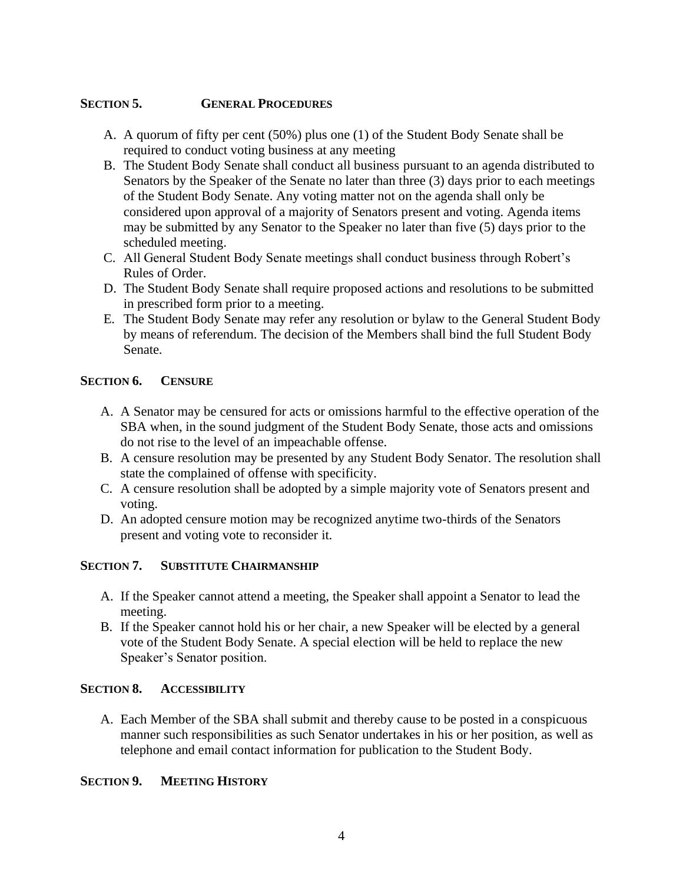### **SECTION 5. GENERAL PROCEDURES**

- A. A quorum of fifty per cent (50%) plus one (1) of the Student Body Senate shall be required to conduct voting business at any meeting
- B. The Student Body Senate shall conduct all business pursuant to an agenda distributed to Senators by the Speaker of the Senate no later than three (3) days prior to each meetings of the Student Body Senate. Any voting matter not on the agenda shall only be considered upon approval of a majority of Senators present and voting. Agenda items may be submitted by any Senator to the Speaker no later than five (5) days prior to the scheduled meeting.
- C. All General Student Body Senate meetings shall conduct business through Robert's Rules of Order.
- D. The Student Body Senate shall require proposed actions and resolutions to be submitted in prescribed form prior to a meeting.
- E. The Student Body Senate may refer any resolution or bylaw to the General Student Body by means of referendum. The decision of the Members shall bind the full Student Body Senate.

### **SECTION 6. CENSURE**

- A. A Senator may be censured for acts or omissions harmful to the effective operation of the SBA when, in the sound judgment of the Student Body Senate, those acts and omissions do not rise to the level of an impeachable offense.
- B. A censure resolution may be presented by any Student Body Senator. The resolution shall state the complained of offense with specificity.
- C. A censure resolution shall be adopted by a simple majority vote of Senators present and voting.
- D. An adopted censure motion may be recognized anytime two-thirds of the Senators present and voting vote to reconsider it.

### **SECTION 7. SUBSTITUTE CHAIRMANSHIP**

- A. If the Speaker cannot attend a meeting, the Speaker shall appoint a Senator to lead the meeting.
- B. If the Speaker cannot hold his or her chair, a new Speaker will be elected by a general vote of the Student Body Senate. A special election will be held to replace the new Speaker's Senator position.

### **SECTION 8. ACCESSIBILITY**

A. Each Member of the SBA shall submit and thereby cause to be posted in a conspicuous manner such responsibilities as such Senator undertakes in his or her position, as well as telephone and email contact information for publication to the Student Body.

### **SECTION 9. MEETING HISTORY**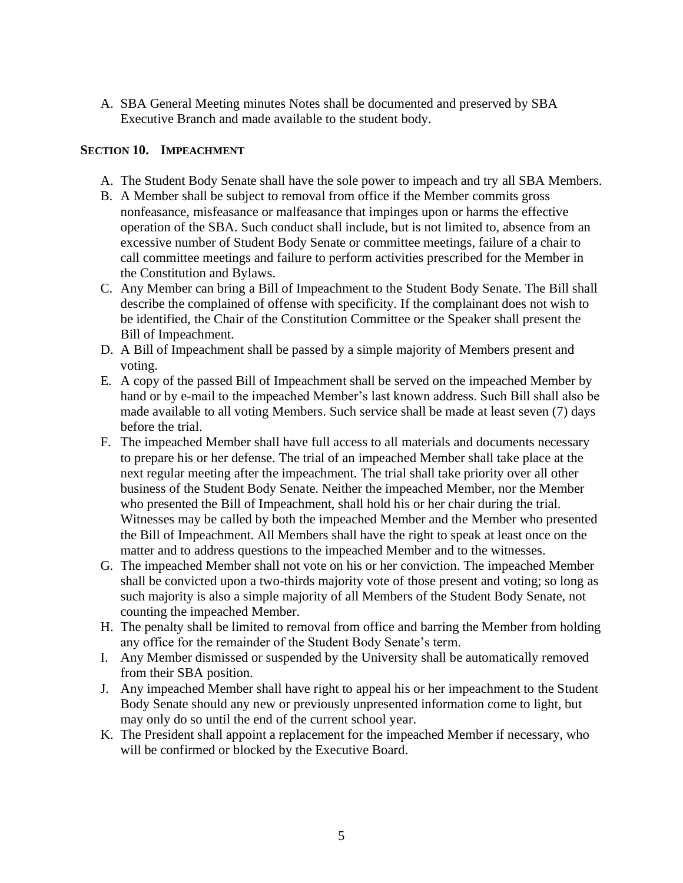A. SBA General Meeting minutes Notes shall be documented and preserved by SBA Executive Branch and made available to the student body.

### **SECTION 10. IMPEACHMENT**

- A. The Student Body Senate shall have the sole power to impeach and try all SBA Members.
- B. A Member shall be subject to removal from office if the Member commits gross nonfeasance, misfeasance or malfeasance that impinges upon or harms the effective operation of the SBA. Such conduct shall include, but is not limited to, absence from an excessive number of Student Body Senate or committee meetings, failure of a chair to call committee meetings and failure to perform activities prescribed for the Member in the Constitution and Bylaws.
- C. Any Member can bring a Bill of Impeachment to the Student Body Senate. The Bill shall describe the complained of offense with specificity. If the complainant does not wish to be identified, the Chair of the Constitution Committee or the Speaker shall present the Bill of Impeachment.
- D. A Bill of Impeachment shall be passed by a simple majority of Members present and voting.
- E. A copy of the passed Bill of Impeachment shall be served on the impeached Member by hand or by e-mail to the impeached Member's last known address. Such Bill shall also be made available to all voting Members. Such service shall be made at least seven (7) days before the trial.
- F. The impeached Member shall have full access to all materials and documents necessary to prepare his or her defense. The trial of an impeached Member shall take place at the next regular meeting after the impeachment. The trial shall take priority over all other business of the Student Body Senate. Neither the impeached Member, nor the Member who presented the Bill of Impeachment, shall hold his or her chair during the trial. Witnesses may be called by both the impeached Member and the Member who presented the Bill of Impeachment. All Members shall have the right to speak at least once on the matter and to address questions to the impeached Member and to the witnesses.
- G. The impeached Member shall not vote on his or her conviction. The impeached Member shall be convicted upon a two-thirds majority vote of those present and voting; so long as such majority is also a simple majority of all Members of the Student Body Senate, not counting the impeached Member.
- H. The penalty shall be limited to removal from office and barring the Member from holding any office for the remainder of the Student Body Senate's term.
- I. Any Member dismissed or suspended by the University shall be automatically removed from their SBA position.
- J. Any impeached Member shall have right to appeal his or her impeachment to the Student Body Senate should any new or previously unpresented information come to light, but may only do so until the end of the current school year.
- K. The President shall appoint a replacement for the impeached Member if necessary, who will be confirmed or blocked by the Executive Board.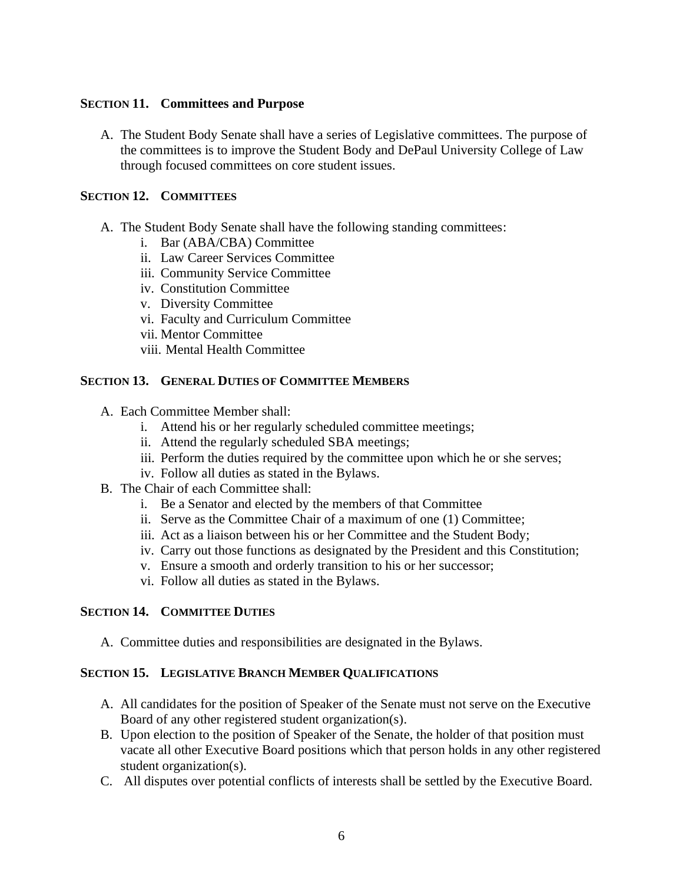### **SECTION 11. Committees and Purpose**

A. The Student Body Senate shall have a series of Legislative committees. The purpose of the committees is to improve the Student Body and DePaul University College of Law through focused committees on core student issues.

### **SECTION 12. COMMITTEES**

- A. The Student Body Senate shall have the following standing committees:
	- i. Bar (ABA/CBA) Committee
	- ii. Law Career Services Committee
	- iii. Community Service Committee
	- iv. Constitution Committee
	- v. Diversity Committee
	- vi. Faculty and Curriculum Committee
	- vii. Mentor Committee
	- viii. Mental Health Committee

### **SECTION 13. GENERAL DUTIES OF COMMITTEE MEMBERS**

- A. Each Committee Member shall:
	- i. Attend his or her regularly scheduled committee meetings;
	- ii. Attend the regularly scheduled SBA meetings;
	- iii. Perform the duties required by the committee upon which he or she serves;
	- iv. Follow all duties as stated in the Bylaws.
- B. The Chair of each Committee shall:
	- i. Be a Senator and elected by the members of that Committee
	- ii. Serve as the Committee Chair of a maximum of one (1) Committee;
	- iii. Act as a liaison between his or her Committee and the Student Body;
	- iv. Carry out those functions as designated by the President and this Constitution;
	- v. Ensure a smooth and orderly transition to his or her successor;
	- vi. Follow all duties as stated in the Bylaws.

### **SECTION 14. COMMITTEE DUTIES**

A. Committee duties and responsibilities are designated in the Bylaws.

### **SECTION 15. LEGISLATIVE BRANCH MEMBER QUALIFICATIONS**

- A. All candidates for the position of Speaker of the Senate must not serve on the Executive Board of any other registered student organization(s).
- B. Upon election to the position of Speaker of the Senate, the holder of that position must vacate all other Executive Board positions which that person holds in any other registered student organization(s).
- C. All disputes over potential conflicts of interests shall be settled by the Executive Board.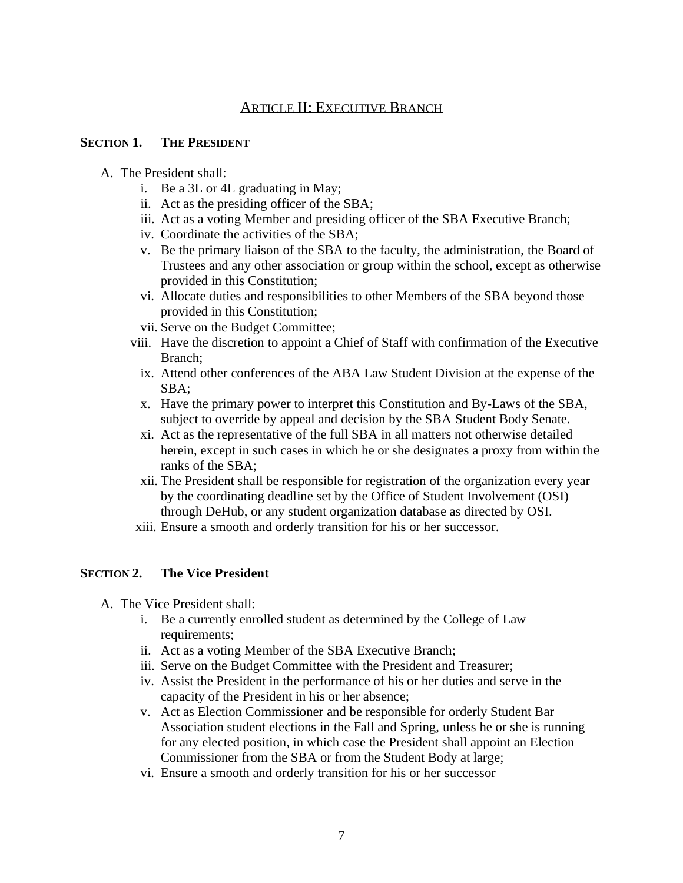### ARTICLE II: EXECUTIVE BRANCH

### **SECTION 1. THE PRESIDENT**

- A. The President shall:
	- i. Be a 3L or 4L graduating in May;
	- ii. Act as the presiding officer of the SBA;
	- iii. Act as a voting Member and presiding officer of the SBA Executive Branch;
	- iv. Coordinate the activities of the SBA;
	- v. Be the primary liaison of the SBA to the faculty, the administration, the Board of Trustees and any other association or group within the school, except as otherwise provided in this Constitution;
	- vi. Allocate duties and responsibilities to other Members of the SBA beyond those provided in this Constitution;
	- vii. Serve on the Budget Committee;
	- viii. Have the discretion to appoint a Chief of Staff with confirmation of the Executive Branch;
		- ix. Attend other conferences of the ABA Law Student Division at the expense of the SBA;
		- x. Have the primary power to interpret this Constitution and By-Laws of the SBA, subject to override by appeal and decision by the SBA Student Body Senate.
		- xi. Act as the representative of the full SBA in all matters not otherwise detailed herein, except in such cases in which he or she designates a proxy from within the ranks of the SBA;
		- xii. The President shall be responsible for registration of the organization every year by the coordinating deadline set by the Office of Student Involvement (OSI) through DeHub, or any student organization database as directed by OSI.
	- xiii. Ensure a smooth and orderly transition for his or her successor.

### **SECTION 2. The Vice President**

- A. The Vice President shall:
	- i. Be a currently enrolled student as determined by the College of Law requirements;
	- ii. Act as a voting Member of the SBA Executive Branch;
	- iii. Serve on the Budget Committee with the President and Treasurer;
	- iv. Assist the President in the performance of his or her duties and serve in the capacity of the President in his or her absence;
	- v. Act as Election Commissioner and be responsible for orderly Student Bar Association student elections in the Fall and Spring, unless he or she is running for any elected position, in which case the President shall appoint an Election Commissioner from the SBA or from the Student Body at large;
	- vi. Ensure a smooth and orderly transition for his or her successor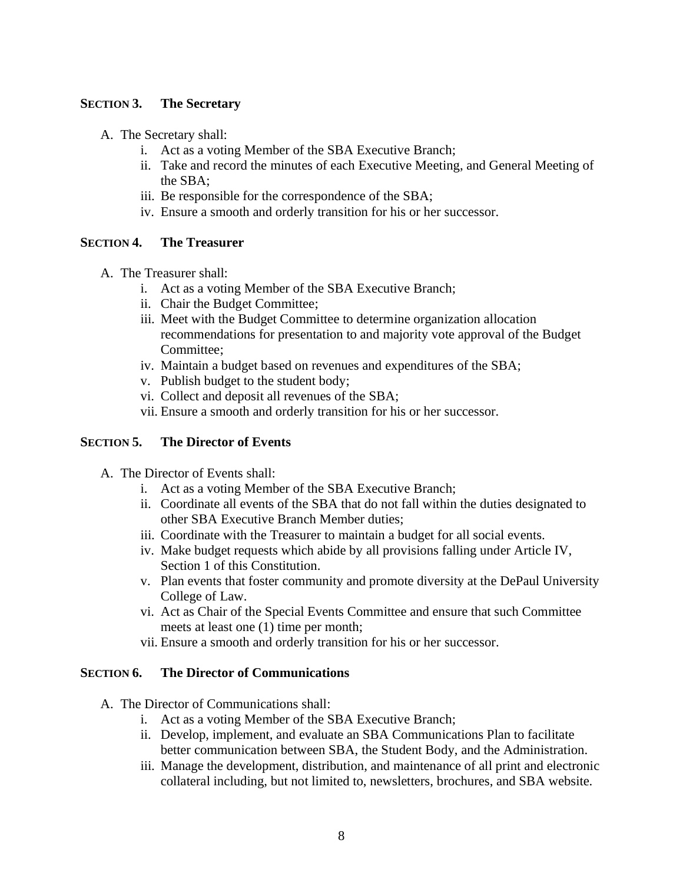### **SECTION 3. The Secretary**

- A. The Secretary shall:
	- i. Act as a voting Member of the SBA Executive Branch;
	- ii. Take and record the minutes of each Executive Meeting, and General Meeting of the SBA;
	- iii. Be responsible for the correspondence of the SBA;
	- iv. Ensure a smooth and orderly transition for his or her successor.

### **SECTION 4. The Treasurer**

- A. The Treasurer shall:
	- i. Act as a voting Member of the SBA Executive Branch;
	- ii. Chair the Budget Committee;
	- iii. Meet with the Budget Committee to determine organization allocation recommendations for presentation to and majority vote approval of the Budget Committee;
	- iv. Maintain a budget based on revenues and expenditures of the SBA;
	- v. Publish budget to the student body;
	- vi. Collect and deposit all revenues of the SBA;
	- vii. Ensure a smooth and orderly transition for his or her successor.

### **SECTION 5. The Director of Events**

- A. The Director of Events shall:
	- i. Act as a voting Member of the SBA Executive Branch;
	- ii. Coordinate all events of the SBA that do not fall within the duties designated to other SBA Executive Branch Member duties;
	- iii. Coordinate with the Treasurer to maintain a budget for all social events.
	- iv. Make budget requests which abide by all provisions falling under Article IV, Section 1 of this Constitution.
	- v. Plan events that foster community and promote diversity at the DePaul University College of Law.
	- vi. Act as Chair of the Special Events Committee and ensure that such Committee meets at least one (1) time per month;
	- vii. Ensure a smooth and orderly transition for his or her successor.

### **SECTION 6. The Director of Communications**

- A. The Director of Communications shall:
	- i. Act as a voting Member of the SBA Executive Branch;
	- ii. Develop, implement, and evaluate an SBA Communications Plan to facilitate better communication between SBA, the Student Body, and the Administration.
	- iii. Manage the development, distribution, and maintenance of all print and electronic collateral including, but not limited to, newsletters, brochures, and SBA website.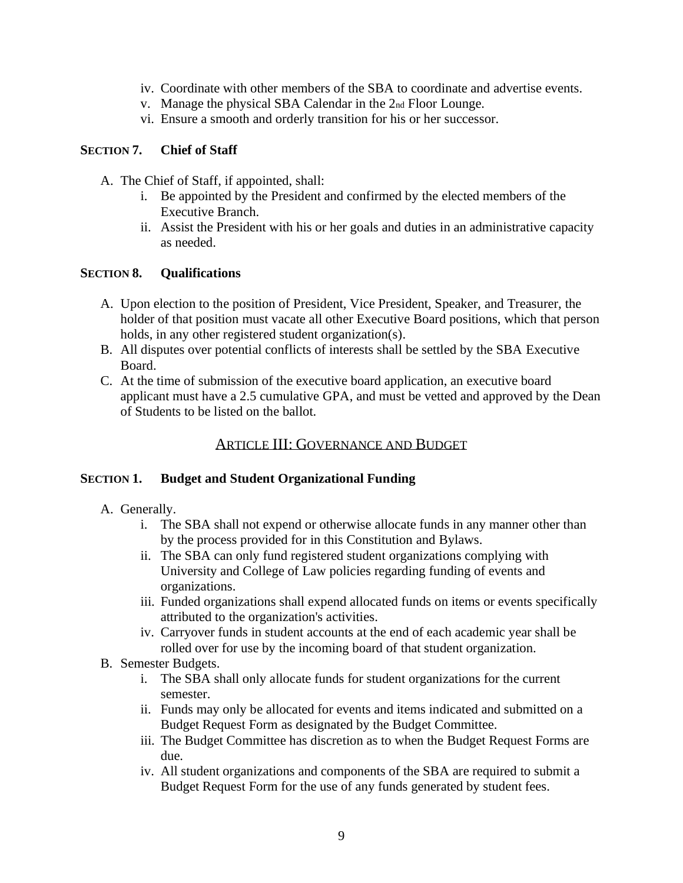- iv. Coordinate with other members of the SBA to coordinate and advertise events.
- v. Manage the physical SBA Calendar in the 2nd Floor Lounge.
- vi. Ensure a smooth and orderly transition for his or her successor.

### **SECTION 7. Chief of Staff**

- A. The Chief of Staff, if appointed, shall:
	- i. Be appointed by the President and confirmed by the elected members of the Executive Branch.
	- ii. Assist the President with his or her goals and duties in an administrative capacity as needed.

### **SECTION 8. Qualifications**

- A. Upon election to the position of President, Vice President, Speaker, and Treasurer, the holder of that position must vacate all other Executive Board positions, which that person holds, in any other registered student organization(s).
- B. All disputes over potential conflicts of interests shall be settled by the SBA Executive Board.
- C. At the time of submission of the executive board application, an executive board applicant must have a 2.5 cumulative GPA, and must be vetted and approved by the Dean of Students to be listed on the ballot.

### ARTICLE III: GOVERNANCE AND BUDGET

### **SECTION 1. Budget and Student Organizational Funding**

- A. Generally.
	- i. The SBA shall not expend or otherwise allocate funds in any manner other than by the process provided for in this Constitution and Bylaws.
	- ii. The SBA can only fund registered student organizations complying with University and College of Law policies regarding funding of events and organizations.
	- iii. Funded organizations shall expend allocated funds on items or events specifically attributed to the organization's activities.
	- iv. Carryover funds in student accounts at the end of each academic year shall be rolled over for use by the incoming board of that student organization.
- B. Semester Budgets.
	- i. The SBA shall only allocate funds for student organizations for the current semester.
	- ii. Funds may only be allocated for events and items indicated and submitted on a Budget Request Form as designated by the Budget Committee.
	- iii. The Budget Committee has discretion as to when the Budget Request Forms are due.
	- iv. All student organizations and components of the SBA are required to submit a Budget Request Form for the use of any funds generated by student fees.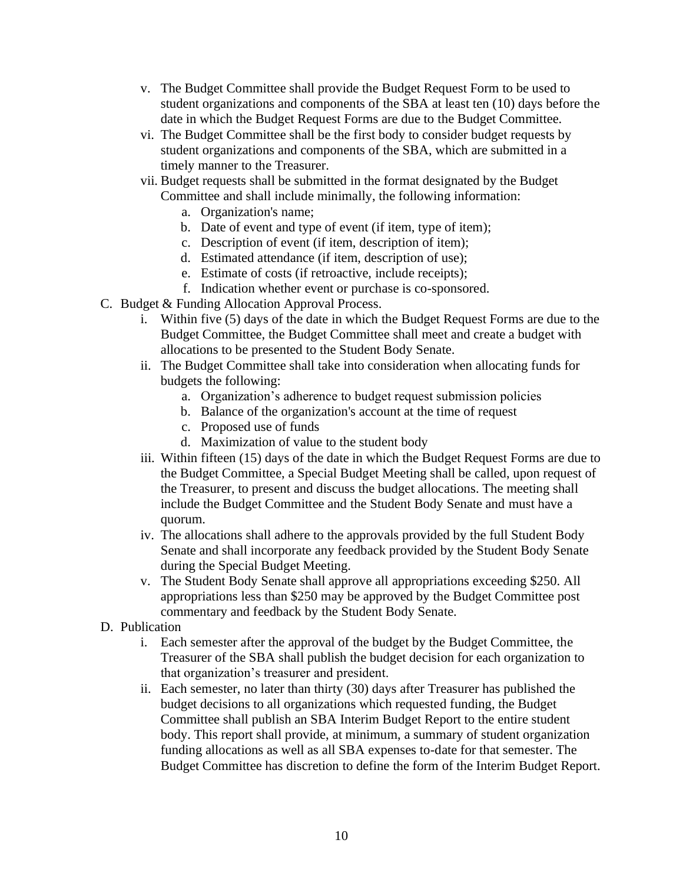- v. The Budget Committee shall provide the Budget Request Form to be used to student organizations and components of the SBA at least ten (10) days before the date in which the Budget Request Forms are due to the Budget Committee.
- vi. The Budget Committee shall be the first body to consider budget requests by student organizations and components of the SBA, which are submitted in a timely manner to the Treasurer.
- vii. Budget requests shall be submitted in the format designated by the Budget Committee and shall include minimally, the following information:
	- a. Organization's name;
	- b. Date of event and type of event (if item, type of item);
	- c. Description of event (if item, description of item);
	- d. Estimated attendance (if item, description of use);
	- e. Estimate of costs (if retroactive, include receipts);
	- f. Indication whether event or purchase is co-sponsored.
- C. Budget & Funding Allocation Approval Process.
	- i. Within five (5) days of the date in which the Budget Request Forms are due to the Budget Committee, the Budget Committee shall meet and create a budget with allocations to be presented to the Student Body Senate.
	- ii. The Budget Committee shall take into consideration when allocating funds for budgets the following:
		- a. Organization's adherence to budget request submission policies
		- b. Balance of the organization's account at the time of request
		- c. Proposed use of funds
		- d. Maximization of value to the student body
	- iii. Within fifteen (15) days of the date in which the Budget Request Forms are due to the Budget Committee, a Special Budget Meeting shall be called, upon request of the Treasurer, to present and discuss the budget allocations. The meeting shall include the Budget Committee and the Student Body Senate and must have a quorum.
	- iv. The allocations shall adhere to the approvals provided by the full Student Body Senate and shall incorporate any feedback provided by the Student Body Senate during the Special Budget Meeting.
	- v. The Student Body Senate shall approve all appropriations exceeding \$250. All appropriations less than \$250 may be approved by the Budget Committee post commentary and feedback by the Student Body Senate.
- D. Publication
	- i. Each semester after the approval of the budget by the Budget Committee, the Treasurer of the SBA shall publish the budget decision for each organization to that organization's treasurer and president.
	- ii. Each semester, no later than thirty (30) days after Treasurer has published the budget decisions to all organizations which requested funding, the Budget Committee shall publish an SBA Interim Budget Report to the entire student body. This report shall provide, at minimum, a summary of student organization funding allocations as well as all SBA expenses to-date for that semester. The Budget Committee has discretion to define the form of the Interim Budget Report.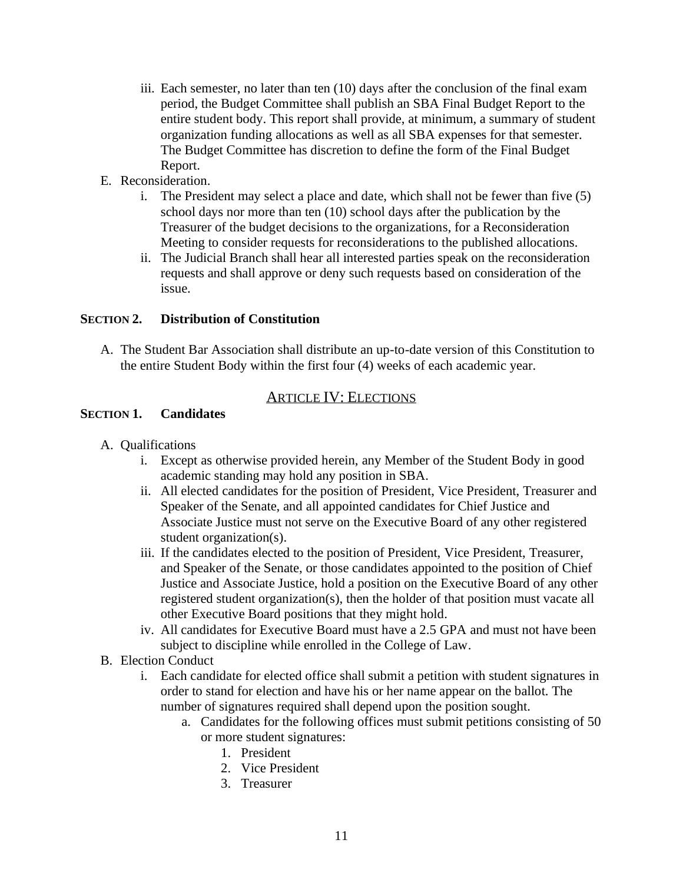- iii. Each semester, no later than ten (10) days after the conclusion of the final exam period, the Budget Committee shall publish an SBA Final Budget Report to the entire student body. This report shall provide, at minimum, a summary of student organization funding allocations as well as all SBA expenses for that semester. The Budget Committee has discretion to define the form of the Final Budget Report.
- E. Reconsideration.
	- i. The President may select a place and date, which shall not be fewer than five (5) school days nor more than ten (10) school days after the publication by the Treasurer of the budget decisions to the organizations, for a Reconsideration Meeting to consider requests for reconsiderations to the published allocations.
	- ii. The Judicial Branch shall hear all interested parties speak on the reconsideration requests and shall approve or deny such requests based on consideration of the issue.

### **SECTION 2. Distribution of Constitution**

A. The Student Bar Association shall distribute an up-to-date version of this Constitution to the entire Student Body within the first four (4) weeks of each academic year.

### ARTICLE IV: ELECTIONS

### **SECTION 1. Candidates**

- A. Qualifications
	- i. Except as otherwise provided herein, any Member of the Student Body in good academic standing may hold any position in SBA.
	- ii. All elected candidates for the position of President, Vice President, Treasurer and Speaker of the Senate, and all appointed candidates for Chief Justice and Associate Justice must not serve on the Executive Board of any other registered student organization(s).
	- iii. If the candidates elected to the position of President, Vice President, Treasurer, and Speaker of the Senate, or those candidates appointed to the position of Chief Justice and Associate Justice, hold a position on the Executive Board of any other registered student organization(s), then the holder of that position must vacate all other Executive Board positions that they might hold.
	- iv. All candidates for Executive Board must have a 2.5 GPA and must not have been subject to discipline while enrolled in the College of Law.
- B. Election Conduct
	- i. Each candidate for elected office shall submit a petition with student signatures in order to stand for election and have his or her name appear on the ballot. The number of signatures required shall depend upon the position sought.
		- a. Candidates for the following offices must submit petitions consisting of 50 or more student signatures:
			- 1. President
			- 2. Vice President
			- 3. Treasurer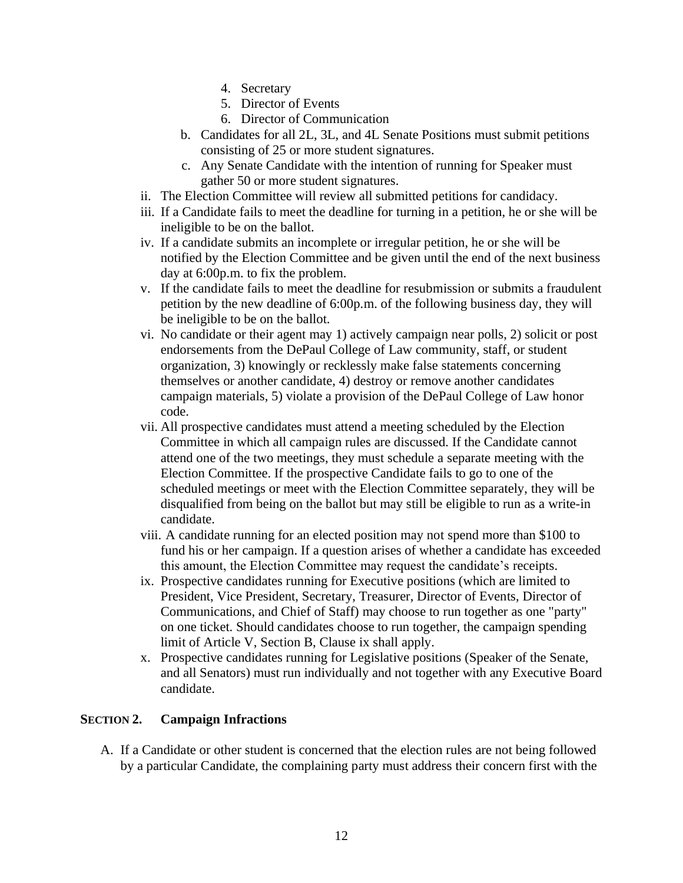- 4. Secretary
- 5. Director of Events
- 6. Director of Communication
- b. Candidates for all 2L, 3L, and 4L Senate Positions must submit petitions consisting of 25 or more student signatures.
- c. Any Senate Candidate with the intention of running for Speaker must gather 50 or more student signatures.
- ii. The Election Committee will review all submitted petitions for candidacy.
- iii. If a Candidate fails to meet the deadline for turning in a petition, he or she will be ineligible to be on the ballot.
- iv. If a candidate submits an incomplete or irregular petition, he or she will be notified by the Election Committee and be given until the end of the next business day at 6:00p.m. to fix the problem.
- v. If the candidate fails to meet the deadline for resubmission or submits a fraudulent petition by the new deadline of 6:00p.m. of the following business day, they will be ineligible to be on the ballot.
- vi. No candidate or their agent may 1) actively campaign near polls, 2) solicit or post endorsements from the DePaul College of Law community, staff, or student organization, 3) knowingly or recklessly make false statements concerning themselves or another candidate, 4) destroy or remove another candidates campaign materials, 5) violate a provision of the DePaul College of Law honor code.
- vii. All prospective candidates must attend a meeting scheduled by the Election Committee in which all campaign rules are discussed. If the Candidate cannot attend one of the two meetings, they must schedule a separate meeting with the Election Committee. If the prospective Candidate fails to go to one of the scheduled meetings or meet with the Election Committee separately, they will be disqualified from being on the ballot but may still be eligible to run as a write-in candidate.
- viii. A candidate running for an elected position may not spend more than \$100 to fund his or her campaign. If a question arises of whether a candidate has exceeded this amount, the Election Committee may request the candidate's receipts.
- ix. Prospective candidates running for Executive positions (which are limited to President, Vice President, Secretary, Treasurer, Director of Events, Director of Communications, and Chief of Staff) may choose to run together as one "party" on one ticket. Should candidates choose to run together, the campaign spending limit of Article V, Section B, Clause ix shall apply.
- x. Prospective candidates running for Legislative positions (Speaker of the Senate, and all Senators) must run individually and not together with any Executive Board candidate.

### **SECTION 2. Campaign Infractions**

A. If a Candidate or other student is concerned that the election rules are not being followed by a particular Candidate, the complaining party must address their concern first with the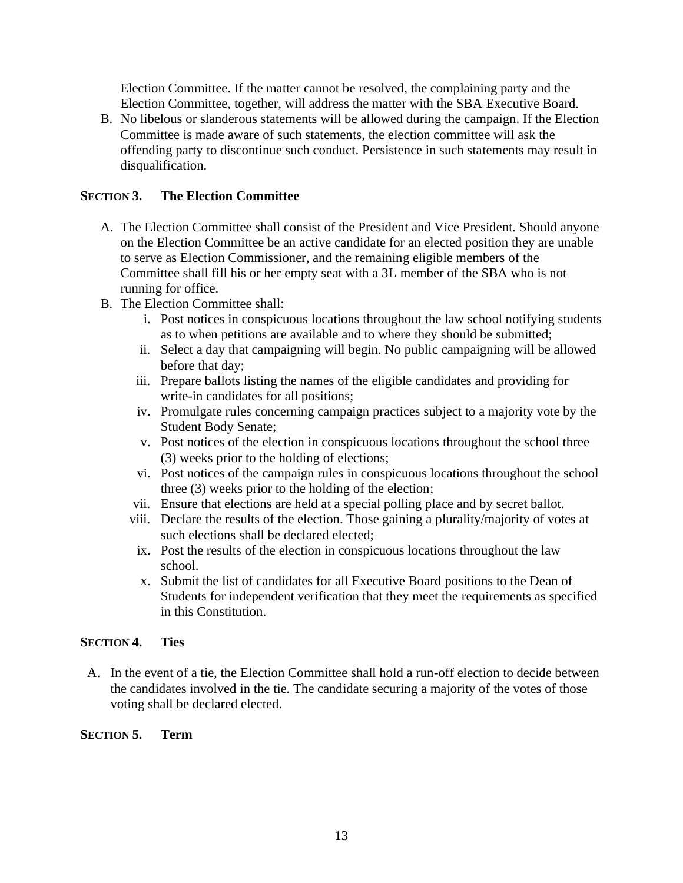Election Committee. If the matter cannot be resolved, the complaining party and the Election Committee, together, will address the matter with the SBA Executive Board.

B. No libelous or slanderous statements will be allowed during the campaign. If the Election Committee is made aware of such statements, the election committee will ask the offending party to discontinue such conduct. Persistence in such statements may result in disqualification.

### **SECTION 3. The Election Committee**

- A. The Election Committee shall consist of the President and Vice President. Should anyone on the Election Committee be an active candidate for an elected position they are unable to serve as Election Commissioner, and the remaining eligible members of the Committee shall fill his or her empty seat with a 3L member of the SBA who is not running for office.
- B. The Election Committee shall:
	- i. Post notices in conspicuous locations throughout the law school notifying students as to when petitions are available and to where they should be submitted;
	- ii. Select a day that campaigning will begin. No public campaigning will be allowed before that day;
	- iii. Prepare ballots listing the names of the eligible candidates and providing for write-in candidates for all positions;
	- iv. Promulgate rules concerning campaign practices subject to a majority vote by the Student Body Senate;
	- v. Post notices of the election in conspicuous locations throughout the school three (3) weeks prior to the holding of elections;
	- vi. Post notices of the campaign rules in conspicuous locations throughout the school three (3) weeks prior to the holding of the election;
	- vii. Ensure that elections are held at a special polling place and by secret ballot.
	- viii. Declare the results of the election. Those gaining a plurality/majority of votes at such elections shall be declared elected;
	- ix. Post the results of the election in conspicuous locations throughout the law school.
	- x. Submit the list of candidates for all Executive Board positions to the Dean of Students for independent verification that they meet the requirements as specified in this Constitution.

### **SECTION 4. Ties**

A. In the event of a tie, the Election Committee shall hold a run-off election to decide between the candidates involved in the tie. The candidate securing a majority of the votes of those voting shall be declared elected.

### **SECTION 5. Term**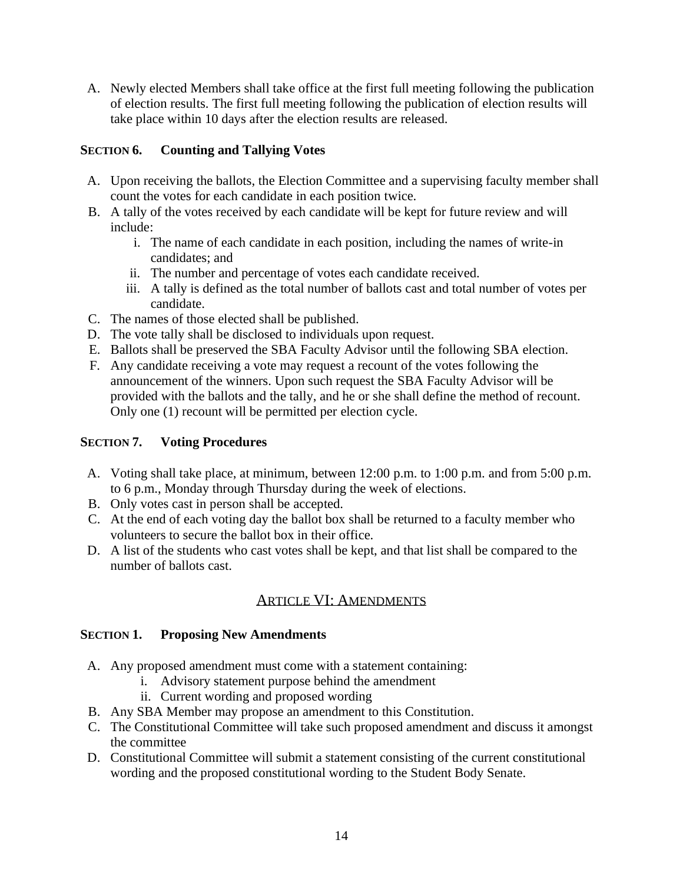A. Newly elected Members shall take office at the first full meeting following the publication of election results. The first full meeting following the publication of election results will take place within 10 days after the election results are released.

### **SECTION 6. Counting and Tallying Votes**

- A. Upon receiving the ballots, the Election Committee and a supervising faculty member shall count the votes for each candidate in each position twice.
- B. A tally of the votes received by each candidate will be kept for future review and will include:
	- i. The name of each candidate in each position, including the names of write-in candidates; and
	- ii. The number and percentage of votes each candidate received.
	- iii. A tally is defined as the total number of ballots cast and total number of votes per candidate.
- C. The names of those elected shall be published.
- D. The vote tally shall be disclosed to individuals upon request.
- E. Ballots shall be preserved the SBA Faculty Advisor until the following SBA election.
- F. Any candidate receiving a vote may request a recount of the votes following the announcement of the winners. Upon such request the SBA Faculty Advisor will be provided with the ballots and the tally, and he or she shall define the method of recount. Only one (1) recount will be permitted per election cycle.

### **SECTION 7. Voting Procedures**

- A. Voting shall take place, at minimum, between 12:00 p.m. to 1:00 p.m. and from 5:00 p.m. to 6 p.m., Monday through Thursday during the week of elections.
- B. Only votes cast in person shall be accepted.
- C. At the end of each voting day the ballot box shall be returned to a faculty member who volunteers to secure the ballot box in their office.
- D. A list of the students who cast votes shall be kept, and that list shall be compared to the number of ballots cast.

### ARTICLE VI: AMENDMENTS

### **SECTION 1. Proposing New Amendments**

- A. Any proposed amendment must come with a statement containing:
	- i. Advisory statement purpose behind the amendment
	- ii. Current wording and proposed wording
- B. Any SBA Member may propose an amendment to this Constitution.
- C. The Constitutional Committee will take such proposed amendment and discuss it amongst the committee
- D. Constitutional Committee will submit a statement consisting of the current constitutional wording and the proposed constitutional wording to the Student Body Senate.